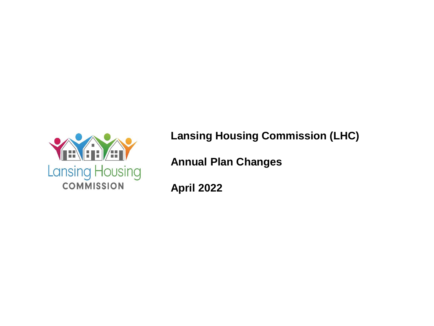

**Lansing Housing Commission (LHC)**

**Annual Plan Changes**

**April 2022**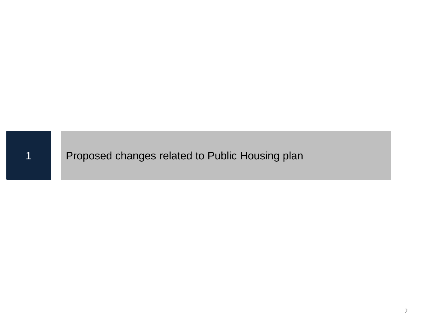#### 1 Proposed changes related to Public Housing plan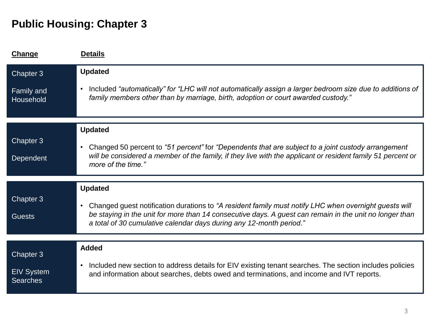| <b>Change</b>                                                | <b>Details</b>                                                                                                                                                                                                                                                                                                         |
|--------------------------------------------------------------|------------------------------------------------------------------------------------------------------------------------------------------------------------------------------------------------------------------------------------------------------------------------------------------------------------------------|
| Chapter 3<br>Family and<br>Household                         | <b>Updated</b><br>Included "automatically" for "LHC will not automatically assign a larger bedroom size due to additions of<br>$\bullet$<br>family members other than by marriage, birth, adoption or court awarded custody."                                                                                          |
| Chapter 3<br>Dependent                                       | <b>Updated</b><br>Changed 50 percent to "51 percent" for "Dependents that are subject to a joint custody arrangement<br>$\bullet$<br>will be considered a member of the family, if they live with the applicant or resident family 51 percent or<br>more of the time."                                                 |
| Chapter 3<br><b>Guests</b>                                   | <b>Updated</b><br>Changed guest notification durations to "A resident family must notify LHC when overnight guests will<br>$\bullet$<br>be staying in the unit for more than 14 consecutive days. A guest can remain in the unit no longer than<br>a total of 30 cumulative calendar days during any 12-month period." |
| Chapter <sub>3</sub><br><b>EIV System</b><br><b>Searches</b> | <b>Added</b><br>Included new section to address details for EIV existing tenant searches. The section includes policies<br>$\bullet$<br>and information about searches, debts owed and terminations, and income and IVT reports.                                                                                       |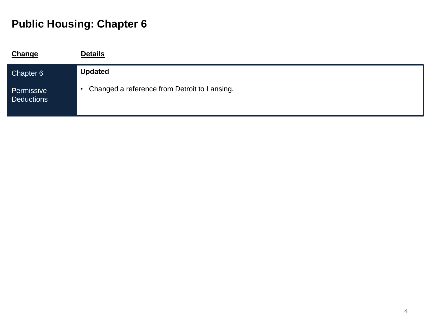| <b>Change</b>                   | <b>Details</b>                                 |
|---------------------------------|------------------------------------------------|
| Chapter 6                       | <b>Updated</b>                                 |
| Permissive<br><b>Deductions</b> | • Changed a reference from Detroit to Lansing. |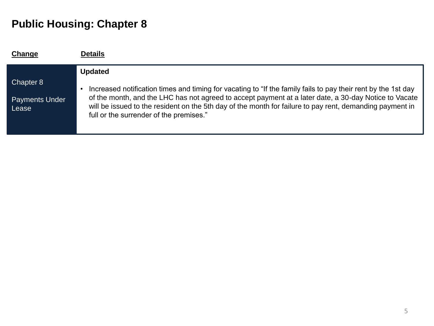| Change                                      | <b>Details</b>                                                                                                                                                                                                                                                                                                                                                                |
|---------------------------------------------|-------------------------------------------------------------------------------------------------------------------------------------------------------------------------------------------------------------------------------------------------------------------------------------------------------------------------------------------------------------------------------|
|                                             | <b>Updated</b>                                                                                                                                                                                                                                                                                                                                                                |
| Chapter 8<br><b>Payments Under</b><br>Lease | Increased notification times and timing for vacating to "If the family fails to pay their rent by the 1st day<br>of the month, and the LHC has not agreed to accept payment at a later date, a 30-day Notice to Vacate<br>will be issued to the resident on the 5th day of the month for failure to pay rent, demanding payment in<br>full or the surrender of the premises." |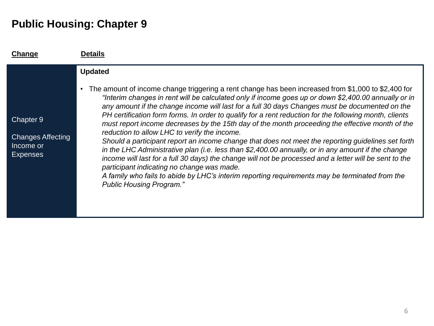| Change                                                                | Details                                                                                                                                                                                                                                                                                                                                                                                                                                                                                                                                                                                                                                                                                                                                                                                                                                                                                                                                                                                                                                                                                                            |
|-----------------------------------------------------------------------|--------------------------------------------------------------------------------------------------------------------------------------------------------------------------------------------------------------------------------------------------------------------------------------------------------------------------------------------------------------------------------------------------------------------------------------------------------------------------------------------------------------------------------------------------------------------------------------------------------------------------------------------------------------------------------------------------------------------------------------------------------------------------------------------------------------------------------------------------------------------------------------------------------------------------------------------------------------------------------------------------------------------------------------------------------------------------------------------------------------------|
| Chapter 9<br><b>Changes Affecting</b><br>Income or<br><b>Expenses</b> | <b>Updated</b><br>The amount of income change triggering a rent change has been increased from \$1,000 to \$2,400 for<br>$\bullet$<br>"Interim changes in rent will be calculated only if income goes up or down \$2,400.00 annually or in<br>any amount if the change income will last for a full 30 days Changes must be documented on the<br>PH certification form forms. In order to qualify for a rent reduction for the following month, clients<br>must report income decreases by the 15th day of the month proceeding the effective month of the<br>reduction to allow LHC to verify the income.<br>Should a participant report an income change that does not meet the reporting guidelines set forth<br>in the LHC Administrative plan (i.e. less than \$2,400.00 annually, or in any amount if the change<br>income will last for a full 30 days) the change will not be processed and a letter will be sent to the<br>participant indicating no change was made.<br>A family who fails to abide by LHC's interim reporting requirements may be terminated from the<br><b>Public Housing Program."</b> |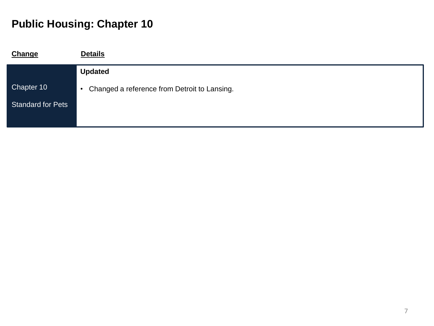| <b>Change</b>            | <b>Details</b>                                 |
|--------------------------|------------------------------------------------|
|                          | <b>Updated</b>                                 |
| Chapter 10               | • Changed a reference from Detroit to Lansing. |
| <b>Standard for Pets</b> |                                                |
|                          |                                                |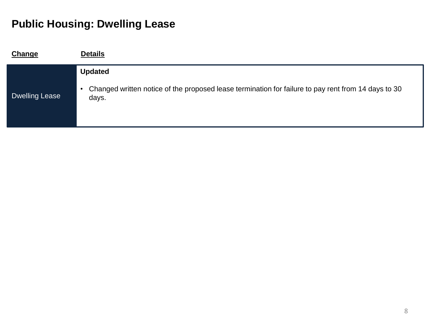# **Public Housing: Dwelling Lease**

| <b>Change</b>         | <b>Details</b>                                                                                                 |
|-----------------------|----------------------------------------------------------------------------------------------------------------|
|                       | <b>Updated</b>                                                                                                 |
| <b>Dwelling Lease</b> | • Changed written notice of the proposed lease termination for failure to pay rent from 14 days to 30<br>days. |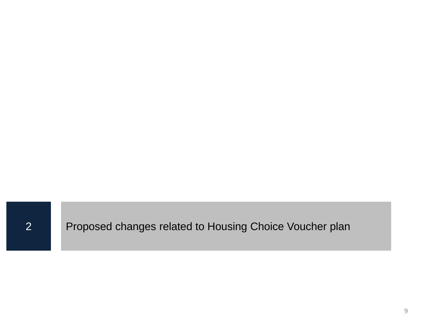Proposed changes related to Housing Choice Voucher plan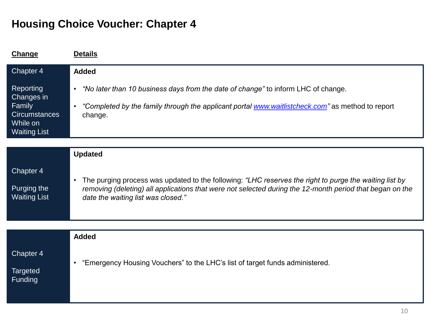| Change                                                                                                           | <b>Details</b>                                                                                                                                                                                                                                                                          |
|------------------------------------------------------------------------------------------------------------------|-----------------------------------------------------------------------------------------------------------------------------------------------------------------------------------------------------------------------------------------------------------------------------------------|
| Chapter 4<br><b>Reporting</b><br>Changes in<br>Family<br><b>Circumstances</b><br>While on<br><b>Waiting List</b> | <b>Added</b><br>"No later than 10 business days from the date of change" to inform LHC of change.<br>$\bullet$<br>"Completed by the family through the applicant portal www.waitlistcheck.com" as method to report<br>change.                                                           |
| Chapter 4<br>Purging the<br><b>Waiting List</b>                                                                  | <b>Updated</b><br>The purging process was updated to the following: "LHC reserves the right to purge the waiting list by<br>$\bullet$<br>removing (deleting) all applications that were not selected during the 12-month period that began on the<br>date the waiting list was closed." |
| Chapter 4<br><b>Targeted</b><br>Funding                                                                          | <b>Added</b><br>"Emergency Housing Vouchers" to the LHC's list of target funds administered.<br>$\bullet$                                                                                                                                                                               |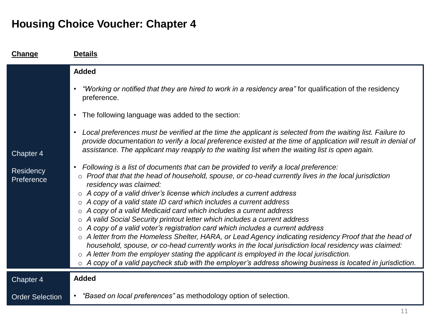| <b>Change</b>           | <b>Details</b>                                                                                                                                                                                                                                                                                                                                                                                                                                                                                                                                                                                                                                                                                                                                                                                                                                                                                                                                                                                                                                                                                                             |
|-------------------------|----------------------------------------------------------------------------------------------------------------------------------------------------------------------------------------------------------------------------------------------------------------------------------------------------------------------------------------------------------------------------------------------------------------------------------------------------------------------------------------------------------------------------------------------------------------------------------------------------------------------------------------------------------------------------------------------------------------------------------------------------------------------------------------------------------------------------------------------------------------------------------------------------------------------------------------------------------------------------------------------------------------------------------------------------------------------------------------------------------------------------|
|                         | <b>Added</b>                                                                                                                                                                                                                                                                                                                                                                                                                                                                                                                                                                                                                                                                                                                                                                                                                                                                                                                                                                                                                                                                                                               |
|                         | "Working or notified that they are hired to work in a residency area" for qualification of the residency<br>$\bullet$<br>preference.                                                                                                                                                                                                                                                                                                                                                                                                                                                                                                                                                                                                                                                                                                                                                                                                                                                                                                                                                                                       |
|                         | The following language was added to the section:<br>$\bullet$                                                                                                                                                                                                                                                                                                                                                                                                                                                                                                                                                                                                                                                                                                                                                                                                                                                                                                                                                                                                                                                              |
| Chapter 4               | Local preferences must be verified at the time the applicant is selected from the waiting list. Failure to<br>$\bullet$<br>provide documentation to verify a local preference existed at the time of application will result in denial of<br>assistance. The applicant may reapply to the waiting list when the waiting list is open again.                                                                                                                                                                                                                                                                                                                                                                                                                                                                                                                                                                                                                                                                                                                                                                                |
| Residency<br>Preference | Following is a list of documents that can be provided to verify a local preference:<br>$\bullet$<br>Proof that that the head of household, spouse, or co-head currently lives in the local jurisdiction<br>$\circ$<br>residency was claimed:<br>A copy of a valid driver's license which includes a current address<br>$\circ$<br>A copy of a valid state ID card which includes a current address<br>$\circ$<br>A copy of a valid Medicaid card which includes a current address<br>$\circ$<br>A valid Social Security printout letter which includes a current address<br>$\circ$<br>A copy of a valid voter's registration card which includes a current address<br>$\circ$<br>o A letter from the Homeless Shelter, HARA, or Lead Agency indicating residency Proof that the head of<br>household, spouse, or co-head currently works in the local jurisdiction local residency was claimed:<br>A letter from the employer stating the applicant is employed in the local jurisdiction.<br>$\circ$<br>$\circ$ A copy of a valid paycheck stub with the employer's address showing business is located in jurisdiction. |
| Chapter 4               | <b>Added</b>                                                                                                                                                                                                                                                                                                                                                                                                                                                                                                                                                                                                                                                                                                                                                                                                                                                                                                                                                                                                                                                                                                               |
| <b>Order Selection</b>  | • "Based on local preferences" as methodology option of selection.                                                                                                                                                                                                                                                                                                                                                                                                                                                                                                                                                                                                                                                                                                                                                                                                                                                                                                                                                                                                                                                         |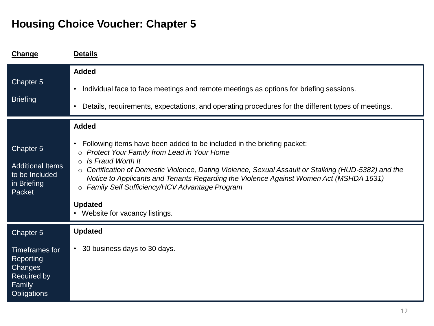| Change                                                                                                    | <b>Details</b>                                                                                                                                                                                                                                                                                                                                                                                                                                                                                         |
|-----------------------------------------------------------------------------------------------------------|--------------------------------------------------------------------------------------------------------------------------------------------------------------------------------------------------------------------------------------------------------------------------------------------------------------------------------------------------------------------------------------------------------------------------------------------------------------------------------------------------------|
| Chapter 5<br><b>Briefing</b>                                                                              | <b>Added</b><br>Individual face to face meetings and remote meetings as options for briefing sessions.<br>$\bullet$<br>Details, requirements, expectations, and operating procedures for the different types of meetings.<br>$\bullet$                                                                                                                                                                                                                                                                 |
| Chapter 5<br><b>Additional Items</b><br>to be Included<br>in Briefing<br>Packet                           | <b>Added</b><br>Following items have been added to be included in the briefing packet:<br>$\bullet$<br>Protect Your Family from Lead in Your Home<br>$\circ$<br>Is Fraud Worth It<br>$\circ$<br>○ Certification of Domestic Violence, Dating Violence, Sexual Assault or Stalking (HUD-5382) and the<br>Notice to Applicants and Tenants Regarding the Violence Against Women Act (MSHDA 1631)<br>o Family Self Sufficiency/HCV Advantage Program<br><b>Updated</b><br>• Website for vacancy listings. |
| Chapter 5<br>Timeframes for<br><b>Reporting</b><br>Changes<br>Required by<br>Family<br><b>Obligations</b> | <b>Updated</b><br>• 30 business days to 30 days.                                                                                                                                                                                                                                                                                                                                                                                                                                                       |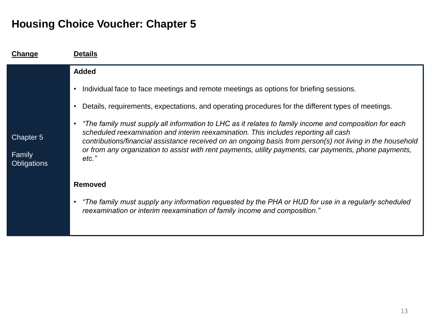| Change                                    | <b>Details</b>                                                                                                                                                                                                                                                                                                                                                                                                                |
|-------------------------------------------|-------------------------------------------------------------------------------------------------------------------------------------------------------------------------------------------------------------------------------------------------------------------------------------------------------------------------------------------------------------------------------------------------------------------------------|
|                                           | <b>Added</b>                                                                                                                                                                                                                                                                                                                                                                                                                  |
|                                           | Individual face to face meetings and remote meetings as options for briefing sessions.                                                                                                                                                                                                                                                                                                                                        |
|                                           | Details, requirements, expectations, and operating procedures for the different types of meetings.                                                                                                                                                                                                                                                                                                                            |
| Chapter 5<br>Family<br><b>Obligations</b> | The family must supply all information to LHC as it relates to family income and composition for each<br>scheduled reexamination and interim reexamination. This includes reporting all cash<br>contributions/financial assistance received on an ongoing basis from person(s) not living in the household<br>or from any organization to assist with rent payments, utility payments, car payments, phone payments,<br>etc." |
|                                           | <b>Removed</b>                                                                                                                                                                                                                                                                                                                                                                                                                |
|                                           | "The family must supply any information requested by the PHA or HUD for use in a regularly scheduled<br>reexamination or interim reexamination of family income and composition."                                                                                                                                                                                                                                             |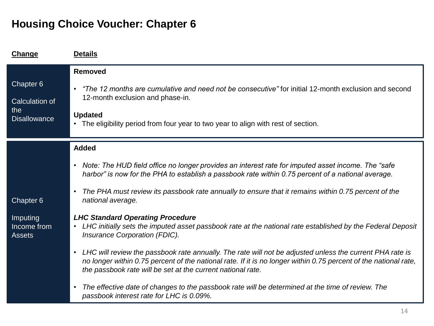| Change                                                    | <b>Details</b>                                                                                                                                                                                                                                                                                                                                                                                                                                                                                                                                                                         |
|-----------------------------------------------------------|----------------------------------------------------------------------------------------------------------------------------------------------------------------------------------------------------------------------------------------------------------------------------------------------------------------------------------------------------------------------------------------------------------------------------------------------------------------------------------------------------------------------------------------------------------------------------------------|
| Chapter 6<br>Calculation of<br>the<br><b>Disallowance</b> | <b>Removed</b><br>"The 12 months are cumulative and need not be consecutive" for initial 12-month exclusion and second<br>$\bullet$<br>12-month exclusion and phase-in.<br><b>Updated</b><br>The eligibility period from four year to two year to align with rest of section.<br>$\bullet$                                                                                                                                                                                                                                                                                             |
| Chapter 6<br>Imputing<br>Income from<br><b>Assets</b>     | <b>Added</b><br>Note: The HUD field office no longer provides an interest rate for imputed asset income. The "safe"<br>$\bullet$<br>harbor" is now for the PHA to establish a passbook rate within 0.75 percent of a national average.<br>The PHA must review its passbook rate annually to ensure that it remains within 0.75 percent of the<br>$\bullet$<br>national average.<br><b>LHC Standard Operating Procedure</b><br>LHC initially sets the imputed asset passbook rate at the national rate established by the Federal Deposit<br>$\bullet$<br>Insurance Corporation (FDIC). |
|                                                           | LHC will review the passbook rate annually. The rate will not be adjusted unless the current PHA rate is<br>$\bullet$<br>no longer within 0.75 percent of the national rate. If it is no longer within 0.75 percent of the national rate,<br>the passbook rate will be set at the current national rate.<br>The effective date of changes to the passbook rate will be determined at the time of review. The<br>$\bullet$<br>passbook interest rate for LHC is 0.09%.                                                                                                                  |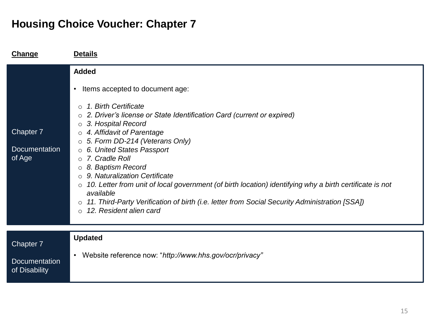| Change                                             | <b>Details</b>                                                                                                                                                                                                                                                                                                                                                                                                                                                                                                                                                                                                                                                                                               |
|----------------------------------------------------|--------------------------------------------------------------------------------------------------------------------------------------------------------------------------------------------------------------------------------------------------------------------------------------------------------------------------------------------------------------------------------------------------------------------------------------------------------------------------------------------------------------------------------------------------------------------------------------------------------------------------------------------------------------------------------------------------------------|
| Chapter 7<br><b>Documentation</b><br>of Age        | <b>Added</b><br>Items accepted to document age:<br>$\bullet$<br>1. Birth Certificate<br>$\bigcirc$<br>○ 2. Driver's license or State Identification Card (current or expired)<br>3. Hospital Record<br>$\circ$<br>$\circ$ 4. Affidavit of Parentage<br>$\circ$ 5. Form DD-214 (Veterans Only)<br>○ 6. United States Passport<br>o 7. Cradle Roll<br>$\circ$ 8. Baptism Record<br>$\circ$ 9. Naturalization Certificate<br>10. Letter from unit of local government (of birth location) identifying why a birth certificate is not<br>$\circ$<br>available<br>11. Third-Party Verification of birth (i.e. letter from Social Security Administration [SSA])<br>$\circ$<br>12. Resident alien card<br>$\Omega$ |
| Chapter 7<br><b>Documentation</b><br>of Disability | <b>Updated</b><br>Website reference now: "http://www.hhs.gov/ocr/privacy"<br>٠                                                                                                                                                                                                                                                                                                                                                                                                                                                                                                                                                                                                                               |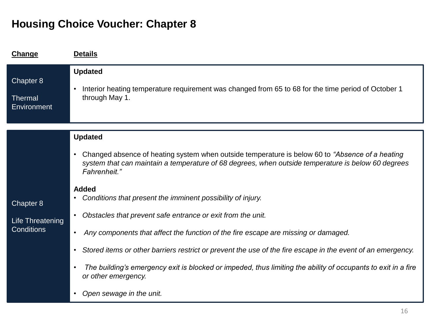| Change                                             | <b>Details</b>                                                                                                                                                                                                                      |
|----------------------------------------------------|-------------------------------------------------------------------------------------------------------------------------------------------------------------------------------------------------------------------------------------|
| Chapter 8<br><b>Thermal</b><br>Environment         | <b>Updated</b><br>Interior heating temperature requirement was changed from 65 to 68 for the time period of October 1<br>$\bullet$<br>through May 1.                                                                                |
|                                                    | <b>Updated</b>                                                                                                                                                                                                                      |
|                                                    | Changed absence of heating system when outside temperature is below 60 to "Absence of a heating"<br>$\bullet$<br>system that can maintain a temperature of 68 degrees, when outside temperature is below 60 degrees<br>Fahrenheit." |
|                                                    | <b>Added</b><br>Conditions that present the imminent possibility of injury.                                                                                                                                                         |
| Chapter 8<br>Life Threatening<br><b>Conditions</b> | Obstacles that prevent safe entrance or exit from the unit.<br>$\bullet$                                                                                                                                                            |
|                                                    | Any components that affect the function of the fire escape are missing or damaged.<br>$\bullet$                                                                                                                                     |
|                                                    | Stored items or other barriers restrict or prevent the use of the fire escape in the event of an emergency.<br>$\bullet$                                                                                                            |
|                                                    | The building's emergency exit is blocked or impeded, thus limiting the ability of occupants to exit in a fire<br>$\bullet$<br>or other emergency.                                                                                   |
|                                                    | Open sewage in the unit.<br>$\bullet$                                                                                                                                                                                               |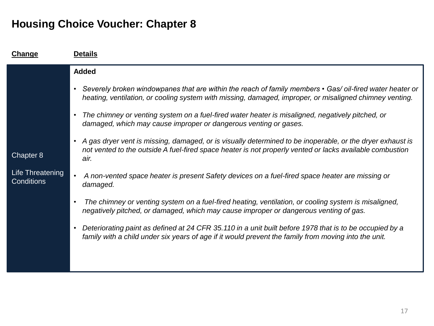| <b>Change</b>                                      | <b>Details</b>                                                                                                                                                                                                                             |
|----------------------------------------------------|--------------------------------------------------------------------------------------------------------------------------------------------------------------------------------------------------------------------------------------------|
|                                                    | <b>Added</b>                                                                                                                                                                                                                               |
| Chapter 8<br>Life Threatening<br><b>Conditions</b> | Severely broken windowpanes that are within the reach of family members • Gas/ oil-fired water heater or<br>$\bullet$<br>heating, ventilation, or cooling system with missing, damaged, improper, or misaligned chimney venting.           |
|                                                    | The chimney or venting system on a fuel-fired water heater is misaligned, negatively pitched, or<br>damaged, which may cause improper or dangerous venting or gases.                                                                       |
|                                                    | A gas dryer vent is missing, damaged, or is visually determined to be inoperable, or the dryer exhaust is<br>$\bullet$<br>not vented to the outside A fuel-fired space heater is not properly vented or lacks available combustion<br>air. |
|                                                    | A non-vented space heater is present Safety devices on a fuel-fired space heater are missing or<br>damaged.                                                                                                                                |
|                                                    | The chimney or venting system on a fuel-fired heating, ventilation, or cooling system is misaligned,<br>$\bullet$<br>negatively pitched, or damaged, which may cause improper or dangerous venting of gas.                                 |
|                                                    | Deteriorating paint as defined at 24 CFR 35.110 in a unit built before 1978 that is to be occupied by a<br>$\bullet$<br>family with a child under six years of age if it would prevent the family from moving into the unit.               |
|                                                    |                                                                                                                                                                                                                                            |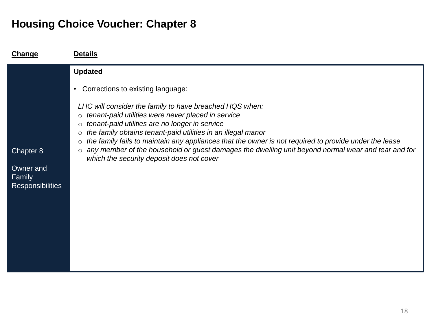| Change                                         | <b>Details</b>                                                                                                                                                                                                                                                                                                                                                                                                                                                                                                                                                                                                         |
|------------------------------------------------|------------------------------------------------------------------------------------------------------------------------------------------------------------------------------------------------------------------------------------------------------------------------------------------------------------------------------------------------------------------------------------------------------------------------------------------------------------------------------------------------------------------------------------------------------------------------------------------------------------------------|
| Chapter 8                                      | <b>Updated</b><br>Corrections to existing language:<br>$\bullet$<br>LHC will consider the family to have breached HQS when:<br>tenant-paid utilities were never placed in service<br>$\circ$<br>tenant-paid utilities are no longer in service<br>$\circ$<br>the family obtains tenant-paid utilities in an illegal manor<br>$\circ$<br>the family fails to maintain any appliances that the owner is not required to provide under the lease<br>$\circ$<br>any member of the household or guest damages the dwelling unit beyond normal wear and tear and for<br>$\circ$<br>which the security deposit does not cover |
| Owner and<br>Family<br><b>Responsibilities</b> |                                                                                                                                                                                                                                                                                                                                                                                                                                                                                                                                                                                                                        |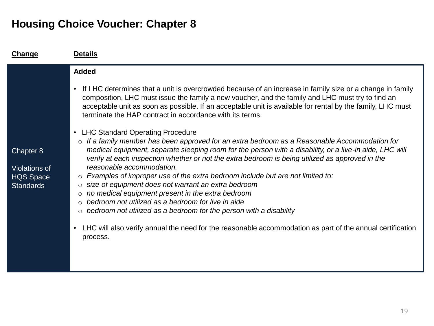| Change                                                                    | <b>Details</b>                                                                                                                                                                                                                                                                                                                                                                                                                                                                                                                                                                                                                                                                                                                                                                                                                                                                                                                          |
|---------------------------------------------------------------------------|-----------------------------------------------------------------------------------------------------------------------------------------------------------------------------------------------------------------------------------------------------------------------------------------------------------------------------------------------------------------------------------------------------------------------------------------------------------------------------------------------------------------------------------------------------------------------------------------------------------------------------------------------------------------------------------------------------------------------------------------------------------------------------------------------------------------------------------------------------------------------------------------------------------------------------------------|
|                                                                           | <b>Added</b><br>If LHC determines that a unit is overcrowded because of an increase in family size or a change in family<br>$\bullet$<br>composition, LHC must issue the family a new voucher, and the family and LHC must try to find an                                                                                                                                                                                                                                                                                                                                                                                                                                                                                                                                                                                                                                                                                               |
| Chapter 8<br><b>Violations of</b><br><b>HQS Space</b><br><b>Standards</b> | acceptable unit as soon as possible. If an acceptable unit is available for rental by the family, LHC must<br>terminate the HAP contract in accordance with its terms.<br><b>LHC Standard Operating Procedure</b><br>$\bullet$<br>If a family member has been approved for an extra bedroom as a Reasonable Accommodation for<br>medical equipment, separate sleeping room for the person with a disability, or a live-in aide, LHC will<br>verify at each inspection whether or not the extra bedroom is being utilized as approved in the<br>reasonable accommodation.<br>Examples of improper use of the extra bedroom include but are not limited to:<br>size of equipment does not warrant an extra bedroom<br>$\circ$<br>no medical equipment present in the extra bedroom<br>$\circ$<br>bedroom not utilized as a bedroom for live in aide<br>$\circ$<br>bedroom not utilized as a bedroom for the person with a disability<br>0 |
|                                                                           | LHC will also verify annual the need for the reasonable accommodation as part of the annual certification<br>$\bullet$<br>process.                                                                                                                                                                                                                                                                                                                                                                                                                                                                                                                                                                                                                                                                                                                                                                                                      |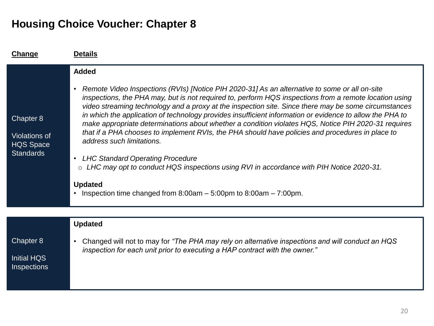| Change                                                                    | <b>Details</b>                                                                                                                                                                                                                                                                                                                                                                                                                                                                                                                                                                                                                                                                                                                                                                                                                                                                                                                                            |
|---------------------------------------------------------------------------|-----------------------------------------------------------------------------------------------------------------------------------------------------------------------------------------------------------------------------------------------------------------------------------------------------------------------------------------------------------------------------------------------------------------------------------------------------------------------------------------------------------------------------------------------------------------------------------------------------------------------------------------------------------------------------------------------------------------------------------------------------------------------------------------------------------------------------------------------------------------------------------------------------------------------------------------------------------|
| Chapter 8<br><b>Violations of</b><br><b>HQS Space</b><br><b>Standards</b> | <b>Added</b><br>Remote Video Inspections (RVIs) [Notice PIH 2020-31] As an alternative to some or all on-site<br>$\bullet$<br>inspections, the PHA may, but is not required to, perform HQS inspections from a remote location using<br>video streaming technology and a proxy at the inspection site. Since there may be some circumstances<br>in which the application of technology provides insufficient information or evidence to allow the PHA to<br>make appropriate determinations about whether a condition violates HQS, Notice PIH 2020-31 requires<br>that if a PHA chooses to implement RVIs, the PHA should have policies and procedures in place to<br>address such limitations.<br><b>LHC Standard Operating Procedure</b><br>$\bullet$<br>LHC may opt to conduct HQS inspections using RVI in accordance with PIH Notice 2020-31.<br>$\circ$<br><b>Updated</b><br>Inspection time changed from $8:00am - 5:00pm$ to $8:00am - 7:00pm$ . |
|                                                                           | <b>Updated</b>                                                                                                                                                                                                                                                                                                                                                                                                                                                                                                                                                                                                                                                                                                                                                                                                                                                                                                                                            |
| Chapter 8<br><b>Initial HQS</b><br><b>Inspections</b>                     | Changed will not to may for "The PHA may rely on alternative inspections and will conduct an HQS<br>$\bullet$<br>inspection for each unit prior to executing a HAP contract with the owner."                                                                                                                                                                                                                                                                                                                                                                                                                                                                                                                                                                                                                                                                                                                                                              |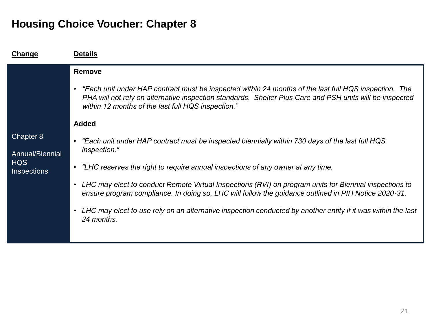| Change                                                           | <b>Details</b>                                                                                                                                                                                                                                                                                                                                                                                                                                                                                                                                                                                                                                                                                                                                                                                                                                                                   |
|------------------------------------------------------------------|----------------------------------------------------------------------------------------------------------------------------------------------------------------------------------------------------------------------------------------------------------------------------------------------------------------------------------------------------------------------------------------------------------------------------------------------------------------------------------------------------------------------------------------------------------------------------------------------------------------------------------------------------------------------------------------------------------------------------------------------------------------------------------------------------------------------------------------------------------------------------------|
| Chapter 8<br>Annual/Biennial<br><b>HQS</b><br><b>Inspections</b> | Remove<br>Each unit under HAP contract must be inspected within 24 months of the last full HQS inspection. The<br>$\bullet$<br>PHA will not rely on alternative inspection standards. Shelter Plus Care and PSH units will be inspected<br>within 12 months of the last full HQS inspection."<br><b>Added</b><br>"Each unit under HAP contract must be inspected biennially within 730 days of the last full HQS<br>inspection."<br>"LHC reserves the right to require annual inspections of any owner at any time.<br>$\bullet$<br>LHC may elect to conduct Remote Virtual Inspections (RVI) on program units for Biennial inspections to<br>ensure program compliance. In doing so, LHC will follow the guidance outlined in PIH Notice 2020-31.<br>LHC may elect to use rely on an alternative inspection conducted by another entity if it was within the last<br>24 months. |
|                                                                  |                                                                                                                                                                                                                                                                                                                                                                                                                                                                                                                                                                                                                                                                                                                                                                                                                                                                                  |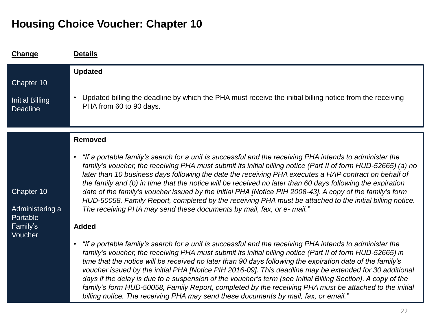| <b>Change</b>                                                    | <b>Details</b>                                                                                                                                                                                                                                                                                                                                                                                                                                                                                                                                                                                                                                                                                                                                                                                                                                                                                                                                                                                                                                                                                                                                                                                                                                                                                                                                                                                                                                                                                                                                                        |
|------------------------------------------------------------------|-----------------------------------------------------------------------------------------------------------------------------------------------------------------------------------------------------------------------------------------------------------------------------------------------------------------------------------------------------------------------------------------------------------------------------------------------------------------------------------------------------------------------------------------------------------------------------------------------------------------------------------------------------------------------------------------------------------------------------------------------------------------------------------------------------------------------------------------------------------------------------------------------------------------------------------------------------------------------------------------------------------------------------------------------------------------------------------------------------------------------------------------------------------------------------------------------------------------------------------------------------------------------------------------------------------------------------------------------------------------------------------------------------------------------------------------------------------------------------------------------------------------------------------------------------------------------|
| Chapter 10<br><b>Initial Billing</b><br><b>Deadline</b>          | <b>Updated</b><br>Updated billing the deadline by which the PHA must receive the initial billing notice from the receiving<br>$\bullet$<br>PHA from 60 to 90 days.                                                                                                                                                                                                                                                                                                                                                                                                                                                                                                                                                                                                                                                                                                                                                                                                                                                                                                                                                                                                                                                                                                                                                                                                                                                                                                                                                                                                    |
| Chapter 10<br>Administering a<br>Portable<br>Family's<br>Voucher | Removed<br>"If a portable family's search for a unit is successful and the receiving PHA intends to administer the<br>$\bullet$<br>family's voucher, the receiving PHA must submit its initial billing notice (Part II of form HUD-52665) (a) no<br>later than 10 business days following the date the receiving PHA executes a HAP contract on behalf of<br>the family and (b) in time that the notice will be received no later than 60 days following the expiration<br>date of the family's voucher issued by the initial PHA [Notice PIH 2008-43]. A copy of the family's form<br>HUD-50058, Family Report, completed by the receiving PHA must be attached to the initial billing notice.<br>The receiving PHA may send these documents by mail, fax, or e- mail."<br><b>Added</b><br>"If a portable family's search for a unit is successful and the receiving PHA intends to administer the<br>$\bullet$<br>family's voucher, the receiving PHA must submit its initial billing notice (Part II of form HUD-52665) in<br>time that the notice will be received no later than 90 days following the expiration date of the family's<br>voucher issued by the initial PHA [Notice PIH 2016-09]. This deadline may be extended for 30 additional<br>days if the delay is due to a suspension of the voucher's term (see Initial Billing Section). A copy of the<br>family's form HUD-50058, Family Report, completed by the receiving PHA must be attached to the initial<br>billing notice. The receiving PHA may send these documents by mail, fax, or email." |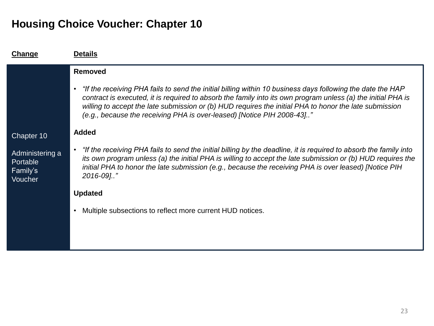| Change                                                           | <b>Details</b>                                                                                                                                                                                                                                                                                                                                                                                                                                |
|------------------------------------------------------------------|-----------------------------------------------------------------------------------------------------------------------------------------------------------------------------------------------------------------------------------------------------------------------------------------------------------------------------------------------------------------------------------------------------------------------------------------------|
|                                                                  | <b>Removed</b><br>"If the receiving PHA fails to send the initial billing within 10 business days following the date the HAP<br>$\bullet$<br>contract is executed, it is required to absorb the family into its own program unless (a) the initial PHA is<br>willing to accept the late submission or (b) HUD requires the initial PHA to honor the late submission<br>(e.g., because the receiving PHA is over-leased) [Notice PIH 2008-43]" |
| Chapter 10<br>Administering a<br>Portable<br>Family's<br>Voucher | <b>Added</b><br>"If the receiving PHA fails to send the initial billing by the deadline, it is required to absorb the family into<br>its own program unless (a) the initial PHA is willing to accept the late submission or (b) HUD requires the<br>initial PHA to honor the late submission (e.g., because the receiving PHA is over leased) [Notice PIH<br>2016-09]"                                                                        |
|                                                                  | <b>Updated</b><br>Multiple subsections to reflect more current HUD notices.                                                                                                                                                                                                                                                                                                                                                                   |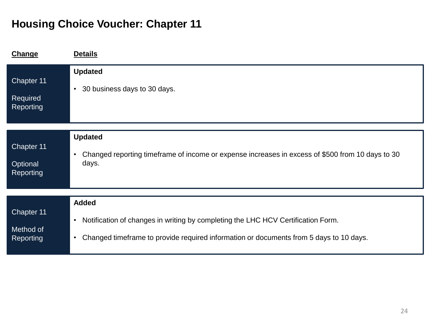| <b>Change</b>                              | <b>Details</b>                                                                                                                                                                                       |
|--------------------------------------------|------------------------------------------------------------------------------------------------------------------------------------------------------------------------------------------------------|
| Chapter 11<br>Required<br>Reporting        | <b>Updated</b><br>30 business days to 30 days.<br>$\bullet$                                                                                                                                          |
|                                            |                                                                                                                                                                                                      |
| Chapter 11<br>Optional<br><b>Reporting</b> | <b>Updated</b><br>Changed reporting timeframe of income or expense increases in excess of \$500 from 10 days to 30<br>$\bullet$<br>days.                                                             |
|                                            | <b>Added</b>                                                                                                                                                                                         |
| Chapter 11<br>Method of<br>Reporting       | Notification of changes in writing by completing the LHC HCV Certification Form.<br>$\bullet$<br>Changed timeframe to provide required information or documents from 5 days to 10 days.<br>$\bullet$ |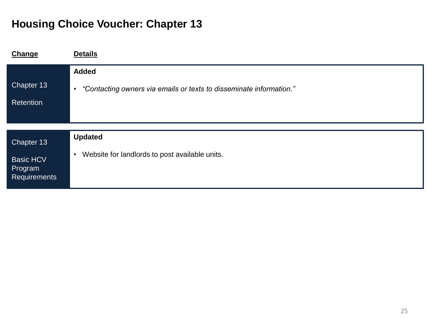| Change                                             | <b>Details</b>                                                                   |
|----------------------------------------------------|----------------------------------------------------------------------------------|
|                                                    | <b>Added</b>                                                                     |
| Chapter 13                                         | "Contacting owners via emails or texts to disseminate information."<br>$\bullet$ |
| <b>Retention</b>                                   |                                                                                  |
|                                                    |                                                                                  |
|                                                    |                                                                                  |
| Chapter 13                                         | <b>Updated</b>                                                                   |
| <b>Basic HCV</b><br>Program<br><b>Requirements</b> | Website for landlords to post available units.<br>$\bullet$                      |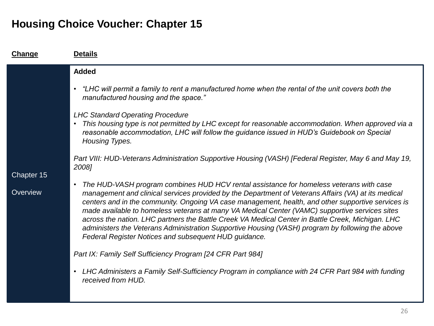| <b>Details</b><br>Change                                                               |                                                                                                                                                                                                                                                                                                                                                                                                                                                                                                                                                                                                                                                                                                                                                                                                                                                                                                                                                                                                                                                                                                                                                                                                                                                                                                                                                                                             |
|----------------------------------------------------------------------------------------|---------------------------------------------------------------------------------------------------------------------------------------------------------------------------------------------------------------------------------------------------------------------------------------------------------------------------------------------------------------------------------------------------------------------------------------------------------------------------------------------------------------------------------------------------------------------------------------------------------------------------------------------------------------------------------------------------------------------------------------------------------------------------------------------------------------------------------------------------------------------------------------------------------------------------------------------------------------------------------------------------------------------------------------------------------------------------------------------------------------------------------------------------------------------------------------------------------------------------------------------------------------------------------------------------------------------------------------------------------------------------------------------|
| <b>Added</b><br>$\bullet$<br>2008]<br>Chapter 15<br>$\bullet$<br>Overview<br>$\bullet$ | • "LHC will permit a family to rent a manufactured home when the rental of the unit covers both the<br>manufactured housing and the space."<br><b>LHC Standard Operating Procedure</b><br>This housing type is not permitted by LHC except for reasonable accommodation. When approved via a<br>reasonable accommodation, LHC will follow the guidance issued in HUD's Guidebook on Special<br>Housing Types.<br>Part VIII: HUD-Veterans Administration Supportive Housing (VASH) [Federal Register, May 6 and May 19,<br>The HUD-VASH program combines HUD HCV rental assistance for homeless veterans with case<br>management and clinical services provided by the Department of Veterans Affairs (VA) at its medical<br>centers and in the community. Ongoing VA case management, health, and other supportive services is<br>made available to homeless veterans at many VA Medical Center (VAMC) supportive services sites<br>across the nation. LHC partners the Battle Creek VA Medical Center in Battle Creek, Michigan. LHC<br>administers the Veterans Administration Supportive Housing (VASH) program by following the above<br>Federal Register Notices and subsequent HUD guidance.<br>Part IX: Family Self Sufficiency Program [24 CFR Part 984]<br>LHC Administers a Family Self-Sufficiency Program in compliance with 24 CFR Part 984 with funding<br>received from HUD. |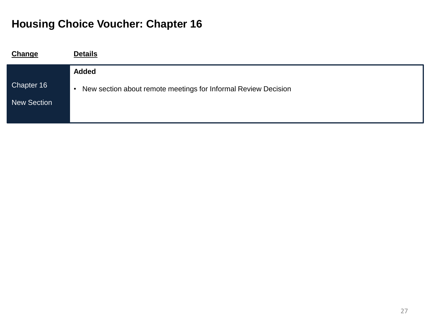| <b>Change</b>      | <b>Details</b>                                                              |
|--------------------|-----------------------------------------------------------------------------|
|                    | <b>Added</b>                                                                |
| Chapter 16         | New section about remote meetings for Informal Review Decision<br>$\bullet$ |
| <b>New Section</b> |                                                                             |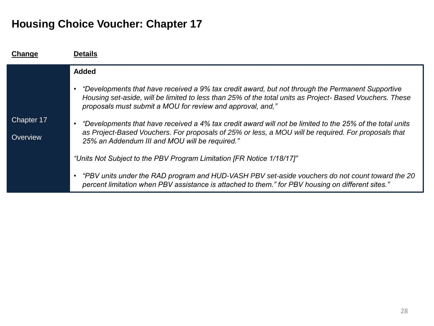| Change     | <b>Details</b>                                                                                                                                                                                                                                                            |
|------------|---------------------------------------------------------------------------------------------------------------------------------------------------------------------------------------------------------------------------------------------------------------------------|
|            | <b>Added</b>                                                                                                                                                                                                                                                              |
|            | "Developments that have received a 9% tax credit award, but not through the Permanent Supportive<br>Housing set-aside, will be limited to less than 25% of the total units as Project-Based Vouchers. These<br>proposals must submit a MOU for review and approval, and," |
| Chapter 17 | "Developments that have received a 4% tax credit award will not be limited to the 25% of the total units                                                                                                                                                                  |
| Overview   | as Project-Based Vouchers. For proposals of 25% or less, a MOU will be required. For proposals that<br>25% an Addendum III and MOU will be required."                                                                                                                     |
|            | "Units Not Subject to the PBV Program Limitation [FR Notice 1/18/17]"                                                                                                                                                                                                     |
|            | • "PBV units under the RAD program and HUD-VASH PBV set-aside vouchers do not count toward the 20<br>percent limitation when PBV assistance is attached to them." for PBV housing on different sites."                                                                    |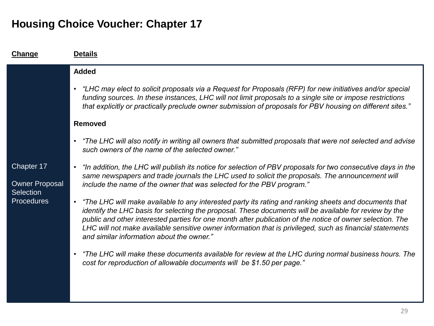| Change                                    | <b>Details</b>                                                                                                                                                                                                                                                                                                                                                                                                                                                                                     |
|-------------------------------------------|----------------------------------------------------------------------------------------------------------------------------------------------------------------------------------------------------------------------------------------------------------------------------------------------------------------------------------------------------------------------------------------------------------------------------------------------------------------------------------------------------|
|                                           | <b>Added</b>                                                                                                                                                                                                                                                                                                                                                                                                                                                                                       |
|                                           | • "LHC may elect to solicit proposals via a Request for Proposals (RFP) for new initiatives and/or special<br>funding sources. In these instances, LHC will not limit proposals to a single site or impose restrictions<br>that explicitly or practically preclude owner submission of proposals for PBV housing on different sites."                                                                                                                                                              |
|                                           | <b>Removed</b>                                                                                                                                                                                                                                                                                                                                                                                                                                                                                     |
| Chapter 17                                | • "The LHC will also notify in writing all owners that submitted proposals that were not selected and advise<br>such owners of the name of the selected owner."                                                                                                                                                                                                                                                                                                                                    |
|                                           | "In addition, the LHC will publish its notice for selection of PBV proposals for two consecutive days in the<br>$\bullet$<br>same newspapers and trade journals the LHC used to solicit the proposals. The announcement will                                                                                                                                                                                                                                                                       |
| <b>Owner Proposal</b><br><b>Selection</b> | include the name of the owner that was selected for the PBV program."                                                                                                                                                                                                                                                                                                                                                                                                                              |
| <b>Procedures</b>                         | "The LHC will make available to any interested party its rating and ranking sheets and documents that<br>$\bullet$<br>identify the LHC basis for selecting the proposal. These documents will be available for review by the<br>public and other interested parties for one month after publication of the notice of owner selection. The<br>LHC will not make available sensitive owner information that is privileged, such as financial statements<br>and similar information about the owner." |
|                                           | "The LHC will make these documents available for review at the LHC during normal business hours. The<br>$\bullet$<br>cost for reproduction of allowable documents will be \$1.50 per page."                                                                                                                                                                                                                                                                                                        |
|                                           |                                                                                                                                                                                                                                                                                                                                                                                                                                                                                                    |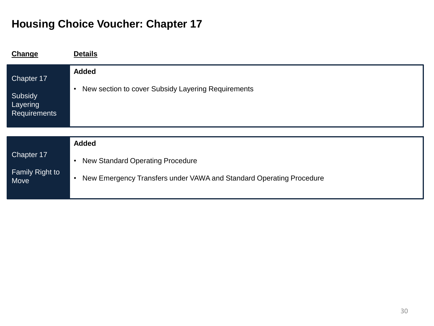| Change                                                   | <b>Details</b>                                                                   |
|----------------------------------------------------------|----------------------------------------------------------------------------------|
| Chapter 17<br>Subsidy<br>Layering<br><b>Requirements</b> | <b>Added</b><br>New section to cover Subsidy Layering Requirements<br>$\bullet$  |
|                                                          |                                                                                  |
|                                                          | <b>Added</b>                                                                     |
| Chapter 17                                               | <b>New Standard Operating Procedure</b><br>$\bullet$                             |
| Family Right to<br>Move                                  | New Emergency Transfers under VAWA and Standard Operating Procedure<br>$\bullet$ |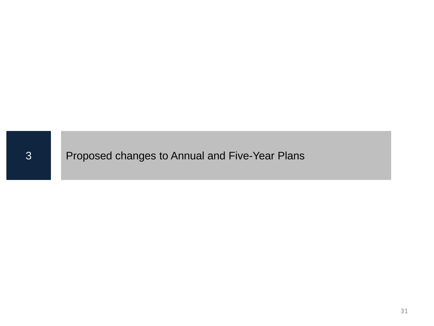#### Proposed changes to Annual and Five-Year Plans